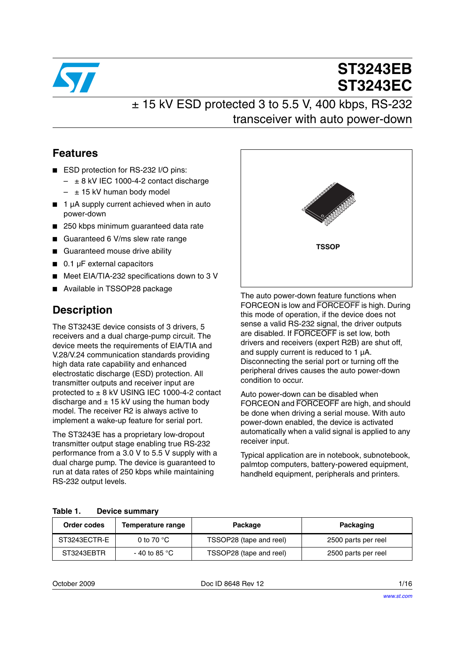

# **ST3243EB ST3243EC**

### $± 15$  kV ESD protected 3 to 5.5 V, 400 kbps, RS-232 transceiver with auto power-down

### **Features**

- ESD protection for RS-232 I/O pins:
	- $\pm$  8 kV IEC 1000-4-2 contact discharge
	- $\pm$  15 kV human body model
- 1 µA supply current achieved when in auto power-down
- 250 kbps minimum guaranteed data rate
- Guaranteed 6 V/ms slew rate range
- Guaranteed mouse drive ability
- 0.1 uF external capacitors
- Meet EIA/TIA-232 specifications down to 3 V
- Available in TSSOP28 package

### **Description**

The ST3243E device consists of 3 drivers, 5 receivers and a dual charge-pump circuit. The device meets the requirements of EIA/TIA and V.28/V.24 communication standards providing high data rate capability and enhanced electrostatic discharge (ESD) protection. All transmitter outputs and receiver input are protected to ± 8 kV USING IEC 1000-4-2 contact discharge and  $\pm$  15 kV using the human body model. The receiver R2 is always active to implement a wake-up feature for serial port.

The ST3243E has a proprietary low-dropout transmitter output stage enabling true RS-232 performance from a 3.0 V to 5.5 V supply with a dual charge pump. The device is guaranteed to run at data rates of 250 kbps while maintaining RS-232 output levels.



The auto power-down feature functions when FORCEON is low and FORCEOFF is high. During this mode of operation, if the device does not sense a valid RS-232 signal, the driver outputs are disabled. If FORCEOFF is set low, both drivers and receivers (expert R2B) are shut off, and supply current is reduced to 1 µA. Disconnecting the serial port or turning off the peripheral drives causes the auto power-down condition to occur.

Auto power-down can be disabled when FORCEON and FORCEOFF are high, and should be done when driving a serial mouse. With auto power-down enabled, the device is activated automatically when a valid signal is applied to any receiver input.

Typical application are in notebook, subnotebook, palmtop computers, battery-powered equipment, handheld equipment, peripherals and printers.

<span id="page-0-0"></span>

| Table 1. |  | <b>Device summary</b> |
|----------|--|-----------------------|
|----------|--|-----------------------|

| Order codes  | Temperature range       | Package                 | Packaging           |
|--------------|-------------------------|-------------------------|---------------------|
| ST3243ECTR-E | 0 to 70 $^{\circ}$ C    | TSSOP28 (tape and reel) | 2500 parts per reel |
| ST3243EBTR   | - 40 to 85 $^{\circ}$ C | TSSOP28 (tape and reel) | 2500 parts per reel |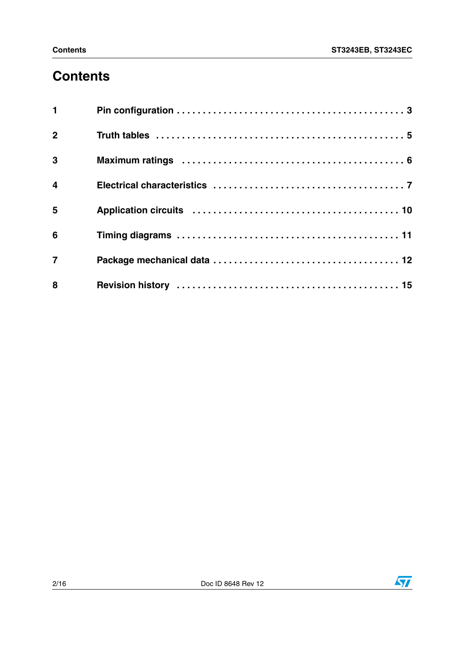## **Contents**

| $\mathbf{1}$   |                                                                                                           |
|----------------|-----------------------------------------------------------------------------------------------------------|
| $\overline{2}$ | Truth tables $\ldots \ldots \ldots \ldots \ldots \ldots \ldots \ldots \ldots \ldots \ldots \ldots \ldots$ |
| 3              |                                                                                                           |
| $\overline{4}$ |                                                                                                           |
| 5              |                                                                                                           |
| $6\phantom{a}$ |                                                                                                           |
| $\overline{7}$ |                                                                                                           |
| 8              |                                                                                                           |

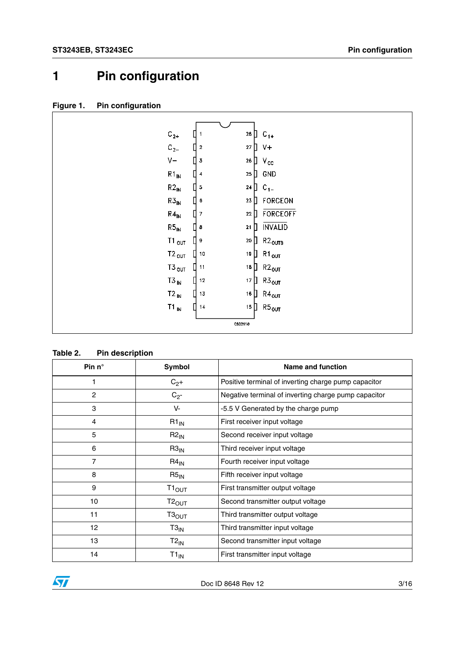## <span id="page-2-0"></span>**1 Pin configuration**

| Figure 1. |  |  | <b>Pin configuration</b> |
|-----------|--|--|--------------------------|
|-----------|--|--|--------------------------|

| $\rm{C_{2+}}$               | $28$ $\Box$        | $C_{1+}$                         |
|-----------------------------|--------------------|----------------------------------|
| $C_{2-}$<br>I               | 27<br>$\mathbf{2}$ | Л<br>$V +$                       |
| $V -$<br>Π                  | ${\bf 26}$<br>3    | П<br>$V_{\rm CC}$                |
| $R1_{IN}$                   | ${\bf 25}$<br>4    | GND<br>D                         |
| $R2_{IN}$                   | ${\bf 24}$<br>5    | D<br>$C_{1}$                     |
| $R3_{IN}$                   | ${\bf 23}$<br>6    | FORCEON<br>$\mathbf{\mathsf{H}}$ |
| $R4_{IN}$                   | 22<br>7            | FORCEOFF                         |
| $\mathsf{R5}_{\mathsf{IN}}$ | $\mathbf{21}$<br>8 | INVALID<br>Л                     |
| Т1 $_{\text{OUT}}$          | ${\bf 20}$<br>9    | $R2_{\text{OUTB}}$<br>L          |
| $T2_{OUT}$                  | $19\,$<br>$10$     | Д<br>$R1_{\text{OUT}}$           |
| $T3_{\,\rm OUT}$            | ${\bf 18}$<br>11   | $R2_{OUT}$<br>П                  |
| $T3_{IN}$                   | 12<br>17           | П<br>$R3_{OUT}$                  |
| ▯<br>$T2_{IN}$              | $16\,$<br>13       | П<br>$\mathsf{R4}_\mathsf{OUT}$  |
| $T1_{IN}$                   | 14<br>15           | D<br>$\mathsf{R5}_\mathsf{OUT}$  |
|                             | CS02110            |                                  |

**Table 2. Pin description**

| Pin $n^{\circ}$ | Symbol             | <b>Name and function</b>                             |
|-----------------|--------------------|------------------------------------------------------|
| 1               | $C_{2}+$           | Positive terminal of inverting charge pump capacitor |
| $\overline{c}$  | $C_{2}$ -          | Negative terminal of inverting charge pump capacitor |
| 3               | V-                 | -5.5 V Generated by the charge pump                  |
| $\overline{4}$  | $R1_{IN}$          | First receiver input voltage                         |
| 5               | $R2_{IN}$          | Second receiver input voltage                        |
| 6               | $R3_{IN}$          | Third receiver input voltage                         |
| 7               | $R4_{IN}$          | Fourth receiver input voltage                        |
| 8               | $R5_{IN}$          | Fifth receiver input voltage                         |
| 9               | $T1_{\text{OUT}}$  | First transmitter output voltage                     |
| 10              | $T2_{OUT}$         | Second transmitter output voltage                    |
| 11              | Т3 $_{\rm OUT}$    | Third transmitter output voltage                     |
| 12              | $T3_{IN}$          | Third transmitter input voltage                      |
| 13              | $T2_{\mathsf{IN}}$ | Second transmitter input voltage                     |
| 14              | $T1_{IN}$          | First transmitter input voltage                      |



Doc ID 8648 Rev 12 3/16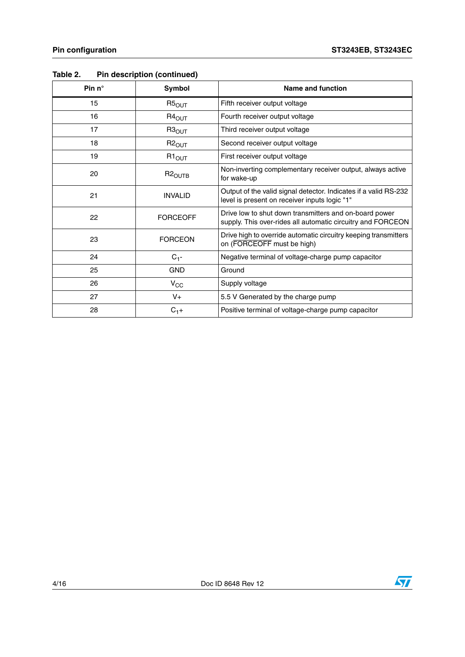| Pin $n^{\circ}$ | Symbol             | <b>Name and function</b>                                                                                              |
|-----------------|--------------------|-----------------------------------------------------------------------------------------------------------------------|
| 15              | $R5_{OUT}$         | Fifth receiver output voltage                                                                                         |
| 16              | $R4_{OUT}$         | Fourth receiver output voltage                                                                                        |
| 17              | $R3_{\text{OUT}}$  | Third receiver output voltage                                                                                         |
| 18              | $R2_{OUT}$         | Second receiver output voltage                                                                                        |
| 19              | $R1_{OUT}$         | First receiver output voltage                                                                                         |
| 20              | R2 <sub>OUTB</sub> | Non-inverting complementary receiver output, always active<br>for wake-up                                             |
| 21              | <b>INVALID</b>     | Output of the valid signal detector. Indicates if a valid RS-232<br>level is present on receiver inputs logic "1"     |
| 22              | <b>FORCEOFF</b>    | Drive low to shut down transmitters and on-board power<br>supply. This over-rides all automatic circuitry and FORCEON |
| 23              | <b>FORCEON</b>     | Drive high to override automatic circuitry keeping transmitters<br>on (FORCEOFF must be high)                         |
| 24              | $C_{1}$ -          | Negative terminal of voltage-charge pump capacitor                                                                    |
| 25              | <b>GND</b>         | Ground                                                                                                                |
| 26              | $V_{CC}$           | Supply voltage                                                                                                        |
| 27              | V+                 | 5.5 V Generated by the charge pump                                                                                    |
| 28              | $C_{1}+$           | Positive terminal of voltage-charge pump capacitor                                                                    |

#### **Table 2. Pin description (continued)**

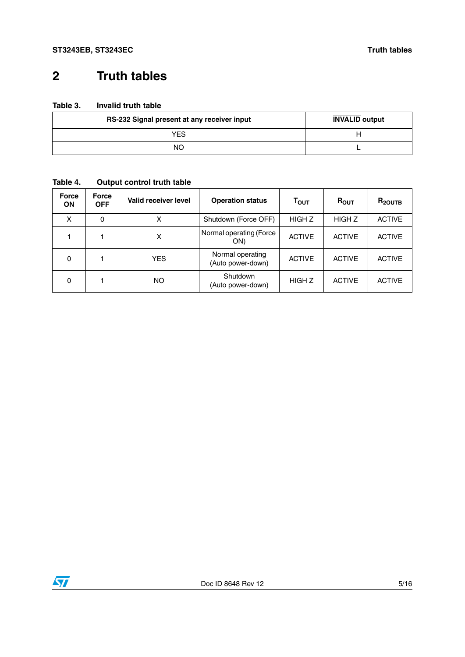### <span id="page-4-0"></span>**2 Truth tables**

#### **Table 3. Invalid truth table**

| RS-232 Signal present at any receiver input | <b>INVALID</b> output |
|---------------------------------------------|-----------------------|
| YES                                         |                       |
| NΟ                                          |                       |

#### **Table 4. Output control truth table**

| <b>Force</b><br><b>ON</b> | <b>Force</b><br><b>OFF</b> | Valid receiver level | <b>Operation status</b>               | Τ <sub>ουτ</sub>  | $R_{OUT}$     | $R_{2OUTB}$   |
|---------------------------|----------------------------|----------------------|---------------------------------------|-------------------|---------------|---------------|
| X                         | 0                          | x                    | Shutdown (Force OFF)                  | HIGH <sub>Z</sub> | <b>HIGHZ</b>  | <b>ACTIVE</b> |
|                           |                            | x                    | Normal operating (Force<br>ON)        | <b>ACTIVE</b>     | <b>ACTIVE</b> | <b>ACTIVE</b> |
| 0                         |                            | <b>YES</b>           | Normal operating<br>(Auto power-down) | <b>ACTIVE</b>     | <b>ACTIVE</b> | <b>ACTIVE</b> |
| $\Omega$                  |                            | NO                   | Shutdown<br>(Auto power-down)         | HIGH Z            | <b>ACTIVE</b> | <b>ACTIVE</b> |

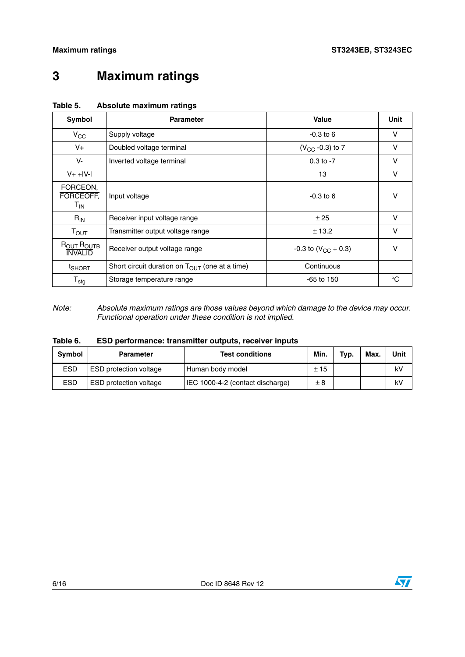## <span id="page-5-0"></span>**3 Maximum ratings**

| Symbol                                   | <b>Parameter</b>                                    | <b>Value</b>               | Unit |
|------------------------------------------|-----------------------------------------------------|----------------------------|------|
| $V_{CC}$                                 | Supply voltage                                      | $-0.3$ to 6                | v    |
| $V_{+}$                                  | Doubled voltage terminal                            | $(V_{CC} -0.3)$ to 7       | v    |
| V-                                       | Inverted voltage terminal                           | $0.3$ to $-7$              | v    |
| $V + +  V - $                            |                                                     | 13                         | v    |
| FORCEON,<br>FORCEOFF,<br>T <sub>IN</sub> | Input voltage                                       | $-0.3$ to 6                | v    |
| $R_{IN}$                                 | Receiver input voltage range                        | ± 25                       | v    |
| $T_{\text{OUT}}$                         | Transmitter output voltage range                    | ± 13.2                     | v    |
| ROUT ROUTB<br><b>INVALID</b>             | Receiver output voltage range                       | $-0.3$ to $(V_{CC} + 0.3)$ |      |
| <sup>t</sup> SHORT                       | Short circuit duration on $T_{OUT}$ (one at a time) | Continuous                 |      |
| $\mathsf{T}_{\text{stg}}$                | Storage temperature range                           | $-65$ to 150               | °C   |

#### **Table 5. Absolute maximum ratings**

*Note: Absolute maximum ratings are those values beyond which damage to the device may occur. Functional operation under these condition is not implied.*

| Table 6. |  | ESD performance: transmitter outputs, receiver inputs |  |  |  |  |
|----------|--|-------------------------------------------------------|--|--|--|--|
|----------|--|-------------------------------------------------------|--|--|--|--|

| <b>Symbol</b> | <b>Parameter</b>              | <b>Test conditions</b>           | Min.     | Typ. | Max | Unit |
|---------------|-------------------------------|----------------------------------|----------|------|-----|------|
| <b>ESD</b>    | <b>ESD</b> protection voltage | Human body model                 | $\pm$ 15 |      |     | k٧   |
| <b>ESD</b>    | <b>ESD</b> protection voltage | IEC 1000-4-2 (contact discharge) | $\pm 8$  |      |     | kV   |

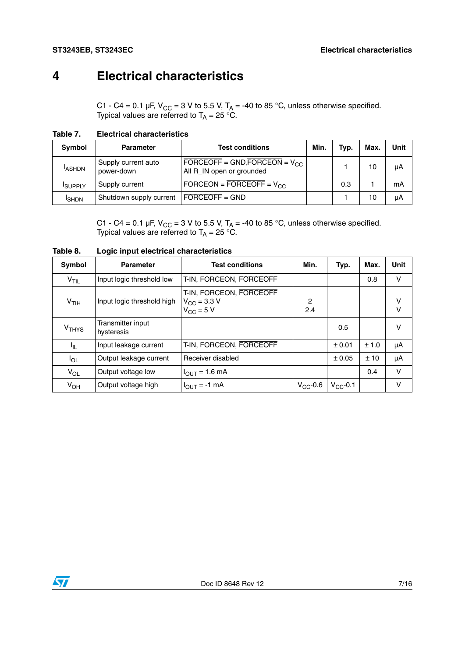## <span id="page-6-0"></span>**4 Electrical characteristics**

C1 - C4 = 0.1 µF, V<sub>CC</sub> = 3 V to 5.5 V, T<sub>A</sub> = -40 to 85 °C, unless otherwise specified. Typical values are referred to  $T_\mathsf{A}$  = 25 °C.

| Table 7. | <b>Electrical characteristics</b> |
|----------|-----------------------------------|
|          |                                   |

| Symbol         | <b>Parameter</b>                  | <b>Test conditions</b>                                          | Min. | Typ. | <b>Max</b> | Unit |
|----------------|-----------------------------------|-----------------------------------------------------------------|------|------|------------|------|
| <b>ASHDN</b>   | Supply current auto<br>power-down | FORCEOFF = GND, FORCEON = $V_{CC}$<br>All R_IN open or grounded |      |      | 10         | μA   |
| <b>ISUPPLY</b> | Supply current                    | FORCEON = $\overline{FORCEOFF}$ = $V_{CC}$                      |      | 0.3  |            | mA   |
| <b>I</b> SHDN  | Shutdown supply current           | $FORCEOFF = GND$                                                |      |      | 10         | μA   |

C1 - C4 = 0.1 µF, V<sub>CC</sub> = 3 V to 5.5 V, T<sub>A</sub> = -40 to 85 °C, unless otherwise specified. Typical values are referred to  $T_\mathsf{A}$  = 25 °C.

| Symbol             | <b>Parameter</b>                | <b>Test conditions</b>                                            | Min.          | Typ.          | Max.  | Unit        |
|--------------------|---------------------------------|-------------------------------------------------------------------|---------------|---------------|-------|-------------|
| V <sub>TIL</sub>   | Input logic threshold low       | T-IN, FORCEON, FORCEOFF                                           |               |               | 0.8   | $\vee$      |
| $V$ <sub>TIH</sub> | Input logic threshold high      | T-IN, FORCEON, FORCEOFF<br>$V_{\rm CC}$ = 3.3 V<br>$V_{CC}$ = 5 V | 2<br>2.4      |               |       | v<br>$\vee$ |
| V <sub>THYS</sub>  | Transmitter input<br>hysteresis |                                                                   |               | 0.5           |       | v           |
| -ljL               | Input leakage current           | T-IN, FORCEON, FORCEOFF                                           |               | ± 0.01        | ± 1.0 | μA          |
| $I_{OL}$           | Output leakage current          | Receiver disabled                                                 |               | ± 0.05        | ±10   | μA          |
| $V_{OL}$           | Output voltage low              | $I_{OUT} = 1.6$ mA                                                |               |               | 0.4   | $\vee$      |
| $V_{OH}$           | Output voltage high             | $I_{\text{OUT}} = -1 \text{ mA}$                                  | $V_{CC}$ -0.6 | $V_{CC}$ -0.1 |       | v           |

**Table 8. Logic input electrical characteristics**

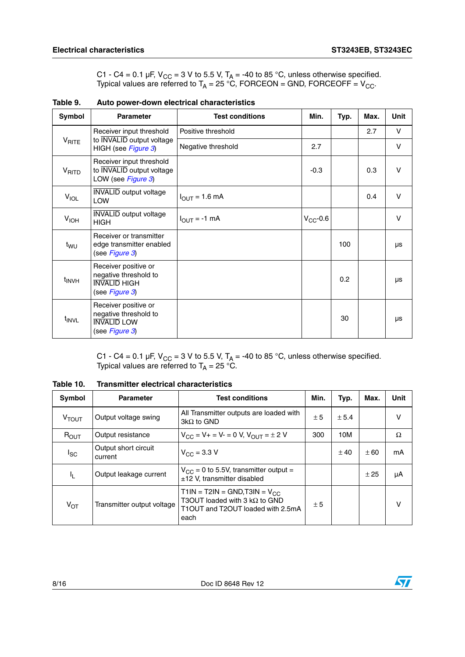C1 - C4 = 0.1 µF, V<sub>CC</sub> = 3 V to 5.5 V, T<sub>A</sub> = -40 to 85 °C, unless otherwise specified. Typical values are referred to T<sub>A</sub> = 25 °C, FORCEON = GND, FORCEOFF = V<sub>CC</sub>.

<span id="page-7-0"></span>**Table 9. Auto power-down electrical characteristics** 

| Symbol            | <b>Parameter</b>                                                                       | <b>Test conditions</b>            | Min.          | Typ. | Max. | <b>Unit</b> |
|-------------------|----------------------------------------------------------------------------------------|-----------------------------------|---------------|------|------|-------------|
|                   | Receiver input threshold                                                               | Positive threshold                |               |      | 2.7  | $\vee$      |
| $V_{\text{RITE}}$ | to <b>INVALID</b> output voltage<br>HIGH (see Figure 3)                                | Negative threshold                | 2.7           |      |      | $\vee$      |
| V <sub>RITO</sub> | Receiver input threshold<br>to <b>INVALID</b> output voltage<br>LOW (see Figure 3)     |                                   | $-0.3$        |      | 0.3  | V           |
| <b>VIOL</b>       | <b>INVALID</b> output voltage<br><b>LOW</b>                                            | $I_{\text{OUT}} = 1.6 \text{ mA}$ |               |      | 0.4  | $\vee$      |
| V <sub>IOH</sub>  | <b>INVALID</b> output voltage<br><b>HIGH</b>                                           | $I_{\text{OUT}} = -1 \text{ mA}$  | $V_{CC}$ -0.6 |      |      | $\vee$      |
| t <sub>WU</sub>   | Receiver or transmitter<br>edge transmitter enabled<br>(see Figure 3)                  |                                   |               | 100  |      | μs          |
| $t_{\text{INVH}}$ | Receiver positive or<br>negative threshold to<br><b>INVALID HIGH</b><br>(see Figure 3) |                                   |               | 0.2  |      | μs          |
| t <sub>INVL</sub> | Receiver positive or<br>negative threshold to<br><b>INVALID LOW</b><br>(see Figure 3)  |                                   |               | 30   |      | μs          |

C1 - C4 = 0.1 µF, V<sub>CC</sub> = 3 V to 5.5 V, T<sub>A</sub> = -40 to 85 °C, unless otherwise specified. Typical values are referred to  $T_\mathsf{A}$  = 25 °C.

**Table 10. Transmitter electrical characteristics**

| Symbol            | <b>Parameter</b>                | <b>Test conditions</b>                                                                                                     |     | Typ.  | Max. | Unit |
|-------------------|---------------------------------|----------------------------------------------------------------------------------------------------------------------------|-----|-------|------|------|
| V <sub>TOUT</sub> | Output voltage swing            | All Transmitter outputs are loaded with<br>$3k\Omega$ to GND                                                               | ± 5 | ± 5.4 |      |      |
| $R_{OUT}$         | Output resistance               | $V_{CC} = V_+ = V_- = 0 V$ , $V_{OU}T = \pm 2 V$                                                                           | 300 | 10M   |      | Ω    |
| <sup>I</sup> SC   | Output short circuit<br>current | $V_{\text{CC}} = 3.3 \text{ V}$                                                                                            |     | ± 40  | ± 60 | mA   |
| Ч.                | Output leakage current          | $V_{CC}$ = 0 to 5.5V, transmitter output =<br>$±12$ V, transmitter disabled                                                |     |       | ± 25 | μA   |
| $V_{OT}$          | Transmitter output voltage      | $T1IN = T2IN = GND$ , T3IN = $V_{CC}$<br>T3OUT loaded with 3 $k\Omega$ to GND<br>T1OUT and T2OUT loaded with 2.5mA<br>each | ± 5 |       |      | v    |

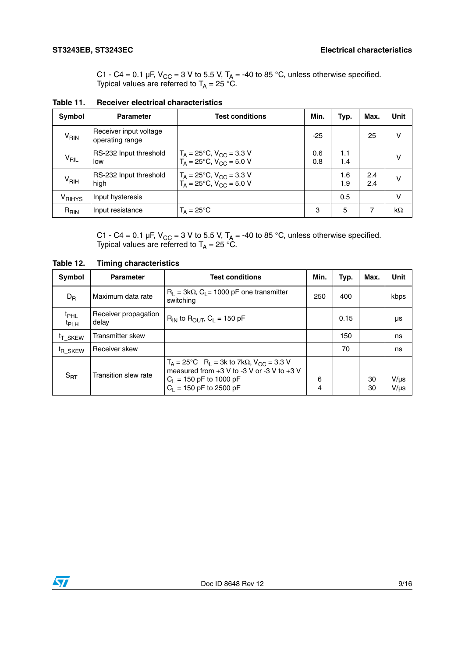C1 - C4 = 0.1 µF, V<sub>CC</sub> = 3 V to 5.5 V, T<sub>A</sub> = -40 to 85 °C, unless otherwise specified. Typical values are referred to  $T_\mathsf{A}$  = 25 °C.

| Symbol             | <b>Parameter</b>                          | <b>Test conditions</b>                                                                  | Min.       | Typ.       | Max.       | <b>Unit</b>  |
|--------------------|-------------------------------------------|-----------------------------------------------------------------------------------------|------------|------------|------------|--------------|
| $V_{\mathsf{RIN}}$ | Receiver input voltage<br>operating range |                                                                                         | $-25$      |            | 25         |              |
| $V_{\mathsf{RIL}}$ | RS-232 Input threshold<br>low             | $T_A = 25^{\circ}C$ , $V_{CC} = 3.3 V$<br>$T_A = 25^{\circ}C$ , $V_{CC} = 5.0 V$        | 0.6<br>0.8 | 1.1<br>1.4 |            |              |
| V <sub>RIH</sub>   | RS-232 Input threshold<br>high            | $T_A = 25^{\circ}$ C, V <sub>CC</sub> = 3.3 V<br>$T_A = 25^{\circ}C$ , $V_{CC} = 5.0 V$ |            | 1.6<br>1.9 | 2.4<br>2.4 |              |
| V <sub>RIHYS</sub> | Input hysteresis                          |                                                                                         |            | 0.5        |            | $\mathsf{V}$ |
| $R_{\text{RIN}}$   | Input resistance                          | $T_{\Delta} = 25^{\circ}$ C                                                             | з          | 5          | 7          | kΩ           |

**Table 11. Receiver electrical characteristics**

C1 - C4 = 0.1 µF, V<sub>CC</sub> = 3 V to 5.5 V, T<sub>A</sub> = -40 to 85 °C, unless otherwise specified. Typical values are referred to  $T_\mathsf{A}$  = 25 °C.

| Symbol                        | <b>Parameter</b>              | <b>Test conditions</b>                                                                                                                                                               |        | Typ. | Max.     | <b>Unit</b>            |
|-------------------------------|-------------------------------|--------------------------------------------------------------------------------------------------------------------------------------------------------------------------------------|--------|------|----------|------------------------|
| $D_{R}$                       | Maximum data rate             | $R_1 = 3k\Omega$ , C <sub>1</sub> = 1000 pF one transmitter<br>switching                                                                                                             | 250    | 400  |          | kbps                   |
| $t_{\text{PHL}}$<br>$t_{PLH}$ | Receiver propagation<br>delay | $R_{IN}$ to $R_{OUT}$ , $C_L = 150$ pF                                                                                                                                               |        | 0.15 |          | μs                     |
| <sup>t</sup> T SKEW           | Transmitter skew              |                                                                                                                                                                                      |        | 150  |          | ns                     |
| <sup>t</sup> R SKEW           | Receiver skew                 |                                                                                                                                                                                      |        | 70   |          | ns                     |
| $S_{\sf RT}$                  | Transition slew rate          | $T_A = 25^{\circ}$ C R <sub>1</sub> = 3k to 7kΩ, V <sub>CC</sub> = 3.3 V<br>measured from $+3$ V to -3 V or -3 V to $+3$ V<br>$C_L$ = 150 pF to 1000 pF<br>$C_1$ = 150 pF to 2500 pF | 6<br>4 |      | 30<br>30 | $V/\mu s$<br>$V/\mu s$ |

**Table 12. Timing characteristics**

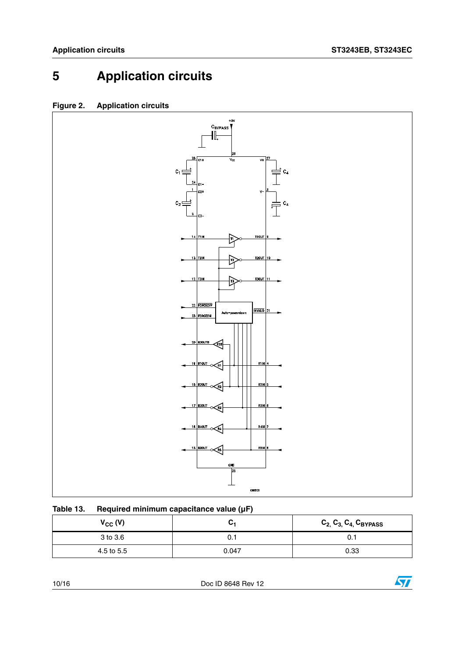## <span id="page-9-0"></span>**5 Application circuits**

### **Figure 2. Application circuits**



| Table 13. | Required minimum capacitance value $(\mu F)$ |
|-----------|----------------------------------------------|
|           |                                              |

| $V_{CC} (V)$ | v·    | $C_{2,}C_{3,}C_{4,}C_{BYPASS}$ |
|--------------|-------|--------------------------------|
| 3 to 3.6     | U.I   | 0.1                            |
| 4.5 to 5.5   | 0.047 | 0.33                           |

10/16 Doc ID 8648 Rev 12

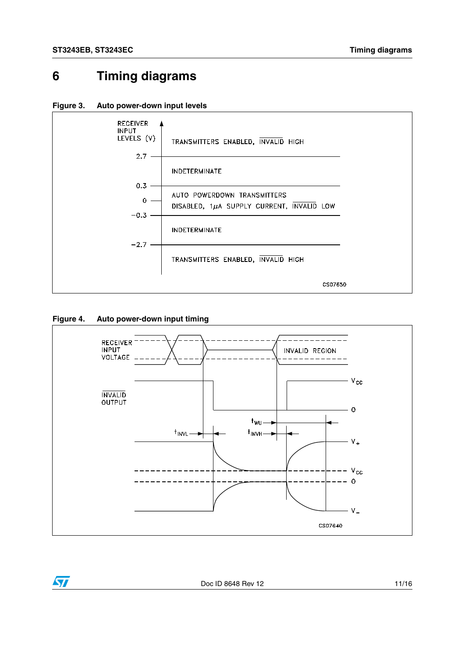### <span id="page-10-0"></span>**6 Timing diagrams**

<span id="page-10-1"></span>



#### **Figure 4. Auto power-down input timing**

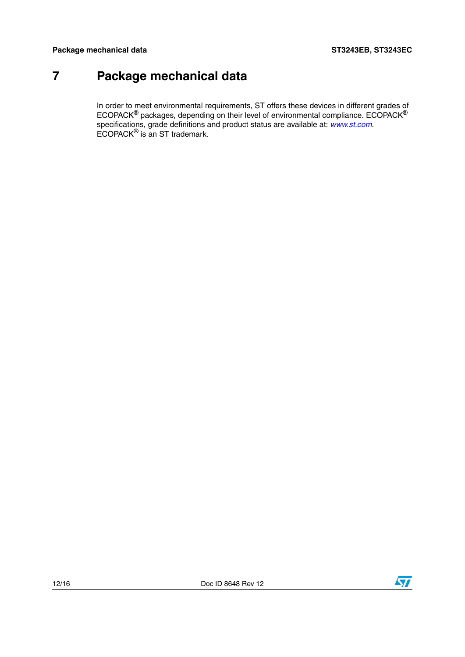### <span id="page-11-0"></span>**7 Package mechanical data**

In order to meet environmental requirements, ST offers these devices in different grades of ECOPACK® packages, depending on their level of environmental compliance. ECOPACK® specifications, grade definitions and product status are available at: *[www.st.com](http://www.st.com)*. ECOPACK® is an ST trademark.

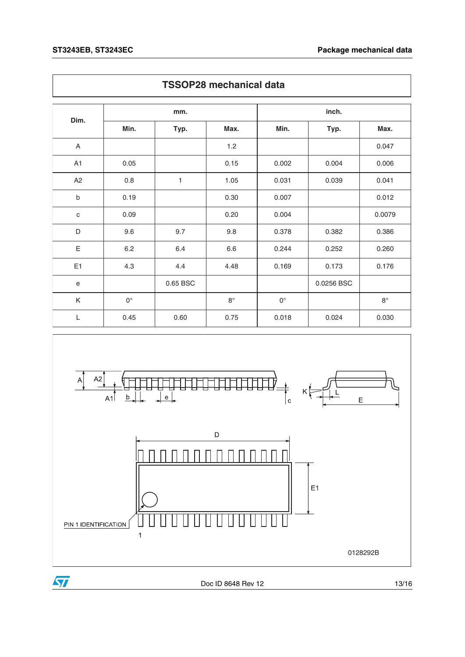|             | <b>TSSOP28 mechanical data</b> |          |             |                    |            |             |
|-------------|--------------------------------|----------|-------------|--------------------|------------|-------------|
| Dim.        |                                | mm.      |             |                    | inch.      |             |
|             | Min.                           | Typ.     | Max.        | Min.               | Typ.       | Max.        |
| A           |                                |          | 1.2         |                    |            | 0.047       |
| A1          | 0.05                           |          | 0.15        | 0.002              | 0.004      | 0.006       |
| A2          | 0.8                            | 1        | 1.05        | 0.031              | 0.039      | 0.041       |
| b           | 0.19                           |          | 0.30        | 0.007              |            | 0.012       |
| $\mathbf C$ | 0.09                           |          | 0.20        | 0.004              |            | 0.0079      |
| D           | 9.6                            | 9.7      | 9.8         | 0.378              | 0.382      | 0.386       |
| Ε           | 6.2                            | 6.4      | 6.6         | 0.244              | 0.252      | 0.260       |
| E1          | 4.3                            | 4.4      | 4.48        | 0.169              | 0.173      | 0.176       |
| e           |                                | 0.65 BSC |             |                    | 0.0256 BSC |             |
| K           | $0^{\circ}$                    |          | $8^{\circ}$ | $\mathsf{O}^\circ$ |            | $8^{\circ}$ |
| L           | 0.45                           | 0.60     | 0.75        | 0.018              | 0.024      | 0.030       |



Doc ID 8648 Rev 12 13/16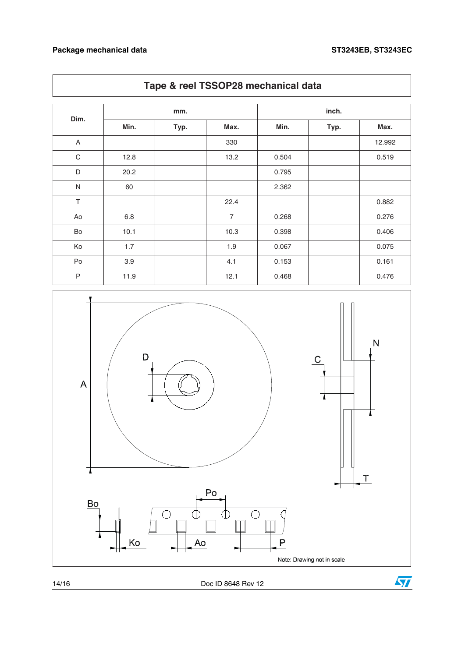|             | mm.  |      |                |       |      |        |
|-------------|------|------|----------------|-------|------|--------|
| Dim.        | Min. | Typ. | Max.           | Min.  | Typ. | Max.   |
| A           |      |      | 330            |       |      | 12.992 |
| $\mathbf C$ | 12.8 |      | 13.2           | 0.504 |      | 0.519  |
| D           | 20.2 |      |                | 0.795 |      |        |
| ${\sf N}$   | 60   |      |                | 2.362 |      |        |
| $\top$      |      |      | 22.4           |       |      | 0.882  |
| Ao          | 6.8  |      | $\overline{7}$ | 0.268 |      | 0.276  |
| Bo          | 10.1 |      | 10.3           | 0.398 |      | 0.406  |
| Ko          | 1.7  |      | 1.9            | 0.067 |      | 0.075  |
| Po          | 3.9  |      | 4.1            | 0.153 |      | 0.161  |
| $\sf P$     | 11.9 |      | 12.1           | 0.468 |      | 0.476  |



### **Tape & reel TSSOP28 mechanical data**

14/16 Doc ID 8648 Rev 12

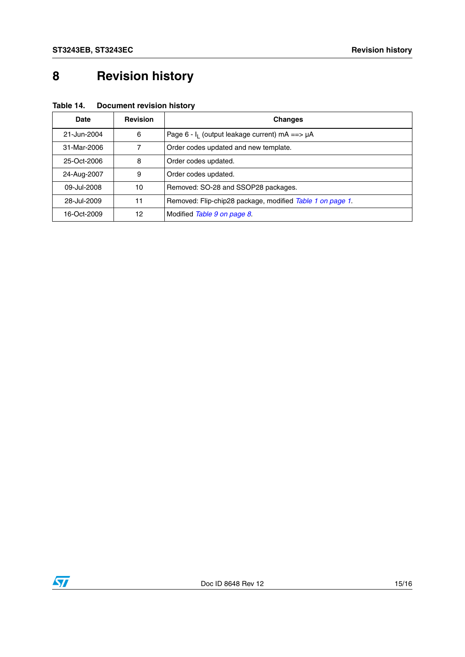# <span id="page-14-0"></span>**8 Revision history**

| Table 14. | <b>Document revision history</b> |  |
|-----------|----------------------------------|--|
|           |                                  |  |

| Date        | <b>Revision</b> | <b>Changes</b>                                            |
|-------------|-----------------|-----------------------------------------------------------|
| 21-Jun-2004 | 6               | Page 6 - $I_1$ (output leakage current) mA ==> $\mu$ A    |
| 31-Mar-2006 |                 | Order codes updated and new template.                     |
| 25-Oct-2006 | 8               | Order codes updated.                                      |
| 24-Aug-2007 | 9               | Order codes updated.                                      |
| 09-Jul-2008 | 10              | Removed: SO-28 and SSOP28 packages.                       |
| 28-Jul-2009 | 11              | Removed: Flip-chip28 package, modified Table 1 on page 1. |
| 16-Oct-2009 | 12              | Modified Table 9 on page 8.                               |